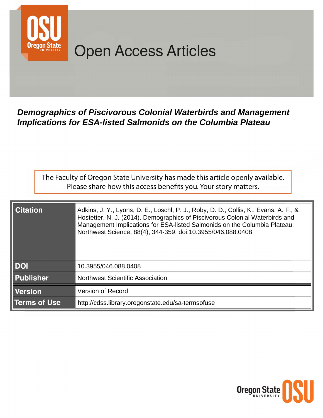

# **Open Access Articles**

**Demographics of Piscivorous Colonial Waterbirds and Management Implications for ESA-listed Salmonids on the Columbia Plateau** 

The Faculty of Oregon State University has made this article openly available. Please share how this access benefits you. Your story matters.

| <b>Citation</b>     | Adkins, J. Y., Lyons, D. E., Loschl, P. J., Roby, D. D., Collis, K., Evans, A. F., &<br>Hostetter, N. J. (2014). Demographics of Piscivorous Colonial Waterbirds and<br>Management Implications for ESA-listed Salmonids on the Columbia Plateau.<br>Northwest Science, 88(4), 344-359. doi:10.3955/046.088.0408 |
|---------------------|------------------------------------------------------------------------------------------------------------------------------------------------------------------------------------------------------------------------------------------------------------------------------------------------------------------|
| <b>DOI</b>          | 10.3955/046.088.0408                                                                                                                                                                                                                                                                                             |
| <b>Publisher</b>    | <b>Northwest Scientific Association</b>                                                                                                                                                                                                                                                                          |
| <b>Version</b>      | Version of Record                                                                                                                                                                                                                                                                                                |
| <b>Terms of Use</b> | http://cdss.library.oregonstate.edu/sa-termsofuse                                                                                                                                                                                                                                                                |

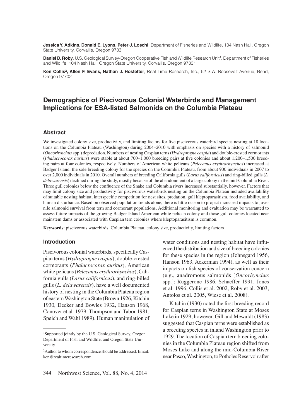**Jessica Y. Adkins, Donald E. Lyons, Peter J. Loschl**, Department of Fisheries and Wildlife, 104 Nash Hall, Oregon State University, Corvallis, Oregon 97331

**Daniel D. Roby**, U.S. Geological Survey-Oregon Cooperative Fish and Wildlife Research Unit<sup>1</sup>, Department of Fisheries and Wildlife, 104 Nash Hall, Oregon State University, Corvallis, Oregon 97331

**Ken Collis2, Allen F. Evans, Nathan J. Hostetter**, Real Time Research, Inc., 52 S.W. Roosevelt Avenue, Bend, Oregon 97702

# **Demographics of Piscivorous Colonial Waterbirds and Management Implications for ESA-listed Salmonids on the Columbia Plateau**

#### **Abstract**

We investigated colony size, productivity, and limiting factors for five piscivorous waterbird species nesting at 18 locations on the Columbia Plateau (Washington) during 2004–2010 with emphasis on species with a history of salmonid (*Oncorhynchus* spp.) depredation. Numbers of nesting Caspian terns (*Hydroprogne caspia*) and double-crested cormorants (*Phalacrocorax auritus*) were stable at about 700–1,000 breeding pairs at five colonies and about 1,200–1,500 breeding pairs at four colonies, respectively. Numbers of American white pelicans (*Pelecanus erythrorhynchos*) increased at Badger Island, the sole breeding colony for the species on the Columbia Plateau, from about 900 individuals in 2007 to over 2,000 individuals in 2010. Overall numbers of breeding California gulls (*Larus californicus*) and ring-billed gulls (*L. delawarensis*) declined during the study, mostly because of the abandonment of a large colony in the mid-Columbia River. Three gull colonies below the confluence of the Snake and Columbia rivers increased substantially, however. Factors that may limit colony size and productivity for piscivorous waterbirds nesting on the Columbia Plateau included availability of suitable nesting habitat, interspecific competition for nest sites, predation, gull kleptoparasitism, food availability, and human disturbance. Based on observed population trends alone, there is little reason to project increased impacts to juvenile salmonid survival from tern and cormorant populations. Additional monitoring and evaluation may be warranted to assess future impacts of the growing Badger Island American white pelican colony and those gull colonies located near mainstem dams or associated with Caspian tern colonies where kleptoparasitism is common.

**Keywords**: piscivorous waterbirds, Columbia Plateau, colony size, productivity, limiting factors

# **Introduction**

Piscivorous colonial waterbirds, specifically Caspian terns (*Hydroprogne caspia*), double-crested cormorants (*Phalacrocorax auritus*), American white pelicans (*Pelecanus erythrorhynchos*), California gulls (*Larus californicus*), and ring-billed gulls (*L. delawarensis*), have a well documented history of nesting in the Columbia Plateau region of eastern Washington State (Brown 1926, Kitchin 1930, Decker and Bowles 1932, Hanson 1968, Conover et al. 1979, Thompson and Tabor 1981, Speich and Wahl 1989). Human manipulation of

water conditions and nesting habitat have influenced the distribution and size of breeding colonies for these species in the region (Johnsgard 1956, Hanson 1963, Ackerman 1994), as well as their impacts on fish species of conservation concern (e.g., anadromous salmonids [*Oncorhynchus* spp.]; Ruggerone 1986, Schaeffer 1991, Jones et al. 1996, Collis et al. 2002, Roby et al. 2003, Antolos et al. 2005, Wiese et al. 2008).

Kitchin (1930) noted the first breeding record for Caspian terns in Washington State at Moses Lake in 1929; however, Gill and Mewaldt (1983) suggested that Caspian terns were established as a breeding species in inland Washington prior to 1929. The location of Caspian tern breeding colonies in the Columbia Plateau region shifted from Moses Lake and along the mid-Columbia River near Pasco, Washington, to Potholes Reservoir after

<sup>1</sup>Supported jointly by the U.S. Geological Survey, Oregon Department of Fish and Wildlife, and Oregon State University

<sup>2</sup> Author to whom correspondence should be addressed. Email: ken@realtimeresearch.com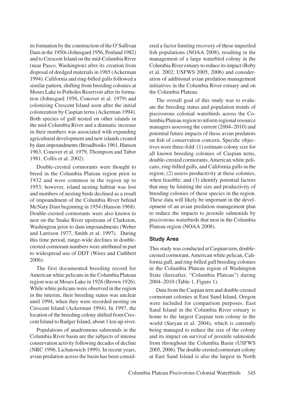its formation by the construction of the O'Sullivan Dam in the 1950s (Johnsgard 1956, Penland 1982) and to Crescent Island on the mid-Columbia River (near Pasco, Washington) after its creation from disposal of dredged materials in 1985 (Ackerman 1994). California and ring-billed gulls followed a similar pattern, shifting from breeding colonies at Moses Lake to Potholes Reservoir after its formation (Johnsgard 1956, Conover et al. 1979) and colonizing Crescent Island soon after the initial colonization by Caspian terns (Ackerman 1994). Both species of gull nested on other islands in the mid-Columbia River and a dramatic increase in their numbers was associated with expanding agricultural development and new islands created by dam impoundments (Broadbooks 1961, Hanson 1963, Conover et al. 1979, Thompson and Tabor 1981, Collis et al. 2002).

Double-crested cormorants were thought to breed in the Columbia Plateau region prior to 1932 and were common in the region up to 1953; however, island nesting habitat was lost and numbers of nesting birds declined as a result of impoundment of the Columbia River behind McNary Dam beginning in 1954 (Hanson 1968). Double-crested cormorants were also known to nest on the Snake River upstream of Clarkston, Washington prior to dam impoundments (Weber and Larrison 1977, Smith et al. 1997). During this time period, range-wide declines in doublecrested cormorant numbers were attributed in part to widespread use of DDT (Wires and Cuthbert 2006).

The first documented breeding record for American white pelicans in the Columbia Plateau region was at Moses Lake in 1926 (Brown 1926). While white pelicans were observed in the region in the interim, their breeding status was unclear until 1994, when they were recorded nesting on Crescent Island (Ackerman 1994). In 1997, the location of the breeding colony shifted from Crescent Island to Badger Island, about 1 km up-river.

Populations of anadromous salmonids in the Columbia River basin are the subjects of intense conservation activity following decades of decline (NRC 1996, Lichatowich 1999). In recent years, avian predation across the basin has been considered a factor limiting recovery of these imperiled fish populations (NOAA 2008), resulting in the management of a large waterbird colony in the Columbia River estuary to reduce its impact (Roby et al. 2002; USFWS 2005, 2006) and consideration of additional avian predation management initiatives in the Columbia River estuary and on the Columbia Plateau.

The overall goal of this study was to evaluate the breeding status and population trends of piscivorous colonial waterbirds across the Columbia Plateau region to inform regional resource managers assessing the current (2004–2010) and potential future impacts of these avian predators on fish of conservation concern. Specific objectives were three-fold: (1) estimate colony size for all known breeding colonies of Caspian terns, double-crested cormorants, American white pelicans, ring-billed gulls, and California gulls in the region; (2) assess productivity at these colonies, when feasible; and (3) identify potential factors that may be limiting the size and productivity of breeding colonies of these species in the region. These data will likely be important in the development of an avian predation management plan to reduce the impacts to juvenile salmonids by piscivorous waterbirds that nest in the Columbia Plateau region (NOAA 2008).

#### **Study Area**

This study was conducted at Caspian tern, doublecrested cormorant, American white pelican, California gull, and ring-billed gull breeding colonies in the Columbia Plateau region of Washington State (hereafter, "Columbia Plateau") during 2004–2010 (Table 1, Figure 1).

Data from the Caspian tern and double-crested cormorant colonies at East Sand Island, Oregon were included for comparison purposes. East Sand Island in the Columbia River estuary is home to the largest Caspian tern colony in the world (Suryan et al. 2004), which is currently being managed to reduce the size of the colony and its impact on survival of juvenile salmonids from throughout the Columbia Basin (USFWS 2005, 2006). The double-crested cormorant colony at East Sand Island is also the largest in North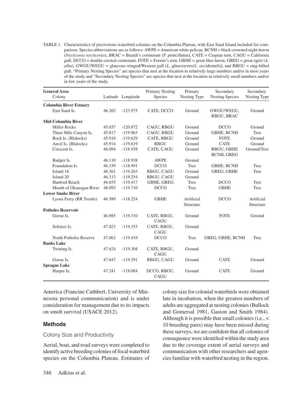TABLE 1. Characteristics of piscivorous waterbird colonies on the Columbia Plateau, with East Sand Island included for comparison. Species abbreviations are as follows: AWPE = American white pelican, BCNH = black-crowned night-heron (*Nycticorax nycticorax*), BRAC = Brandt's cormorant (*P. penicillatus*), CATE = Caspian tern, CAGU = California gull, DCCO = double-crested cormorant, FOTE = Forster's tern, GBHE = great blue heron, GREG = great egret (*A. alba*), GWGU/WEGU = glaucous-winged/Western gull (*L. glaucescens*/*L. occidentalis*), and RBGU = ring-billed gull. "Primary Nesting Species" are species that nest at the location in relatively large numbers and/or in most years of the study and "Secondary Nesting Species" are species that nest at the location in relatively small numbers and/or in few years of the study.

| <b>General Area</b>           |        |                    | Primary Nesting            | Primary                 | Secondary                       | Secondary               |  |
|-------------------------------|--------|--------------------|----------------------------|-------------------------|---------------------------------|-------------------------|--|
| Colony                        |        | Latitude Longitude | Species                    | Nesting Type            | <b>Nesting Species</b>          | Nesting Type            |  |
| <b>Columbia River Estuary</b> |        |                    |                            |                         |                                 |                         |  |
| East Sand Is.                 | 46.262 | $-123.975$         | CATE, DCCO                 | Ground                  | GWGU/WEGU,<br>RBGU, BRAC        | Ground                  |  |
| <b>Mid-Columbia River</b>     |        |                    |                            |                         |                                 |                         |  |
| Miller Rocks                  | 45.657 | $-120.872$         | CAGU, RBGU<br>Ground       |                         | <b>DCCO</b>                     | Ground                  |  |
| Three Mile Canyon Is.         | 45.817 | $-119.963$         | CAGU, RBGU<br>Ground       |                         | <b>GBHE, BCNH</b>               | Tree                    |  |
| Rock Is. (Blalocks)           | 45.910 | $-119.629$         | CATE, RBGU                 | Ground                  | <b>FOTE</b>                     | Ground                  |  |
| Anvil Is. (Blalocks)          | 45.914 | $-119.619$         | <b>RBGU</b>                | Ground                  | <b>CATE</b>                     | Ground                  |  |
| Crescent Is.                  | 46.094 | $-118.938$         | CATE, CAGU                 | Ground                  | RBGU, GBHE<br><b>BCNH, GREG</b> | Ground/Tree             |  |
| Badger Is.                    | 46.110 | $-118.938$         | <b>AWPE</b>                | Ground                  |                                 |                         |  |
| Foundation Is.                | 46.159 | $-118.991$         | <b>DCCO</b>                | Tree                    | <b>GBHE, BCNH</b>               | Tree                    |  |
| Island <sub>18</sub>          | 46.361 | $-119.263$         | RBGU, CAGU                 | Ground                  | <b>GREG, GBHE</b>               | Tree                    |  |
| Island 20                     | 46.313 | $-119.254$         | RBGU, CAGU                 | Ground                  |                                 |                         |  |
| Hanford Reach                 | 46.655 | $-119.417$         | <b>GBHE, GREG</b>          | Tree                    | <b>DCCO</b>                     | Tree                    |  |
| Mouth of Okanogan River       | 48.093 | $-119.710$         | <b>DCCO</b>                | Tree                    | <b>GBHE</b>                     | Tree                    |  |
| <b>Lower Snake River</b>      |        |                    |                            |                         |                                 |                         |  |
| Lyons Ferry (RR Trestle)      | 46.589 | $-118.224$         | <b>GBHE</b>                | Artificial<br>Structure | <b>DCCO</b>                     | Artificial<br>Structure |  |
| <b>Potholes Reservoir</b>     |        |                    |                            |                         |                                 |                         |  |
| Goose Is.                     | 46.985 | $-119.310$         | CATE, RBGU,<br><b>CAGU</b> | Ground                  | <b>FOTE</b>                     | Ground                  |  |
| Solstice Is.                  | 47.023 | $-119.353$         | CATE, RBGU,<br>CAGU        | Ground                  |                                 |                         |  |
| North Potholes Reserve        | 47.062 | $-119.419$         | <b>DCCO</b>                | Tree                    | GREG, GBHE, BCNH                | Tree                    |  |
| <b>Banks Lake</b>             |        |                    |                            |                         |                                 |                         |  |
| Twining Is.                   | 47.624 | $-119.304$         | CATE, RBGU,<br><b>CAGU</b> | Ground                  |                                 |                         |  |
| Goose Is.                     | 47.647 | $-119.291$         | RBGU, CAGU                 | Ground                  | <b>CATE</b>                     | Ground                  |  |
| <b>Sprague Lake</b>           |        |                    |                            |                         |                                 |                         |  |
| Harper Is.                    | 47.241 | $-118.084$         | DCCO, RBGU,<br><b>CAGU</b> | Ground                  | <b>CATE</b>                     | Ground                  |  |

America (Francine Cuthbert, University of Minnesota personal communication) and is under consideration for management due to its impacts on smolt survival (USACE 2012).

#### **Methods**

Colony Size and Productivity

Aerial, boat, and road surveys were completed to identify active breeding colonies of focal waterbird species on the Columbia Plateau. Estimates of colony size for colonial waterbirds were obtained late in incubation, when the greatest numbers of adults are aggregated at nesting colonies (Bullock and Gomersal 1981, Gaston and Smith 1984). Although it is possible that small colonies (i.e., < 10 breeding pairs) may have been missed during these surveys, we are confident that all colonies of consequence were identified within the study area due to the coverage extent of aerial surveys and communication with other researchers and agencies familiar with waterbird nesting in the region.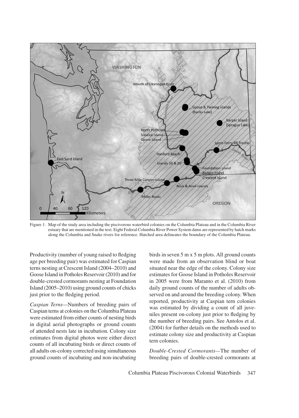

Figure 1. Map of the study area including the piscivorous waterbird colonies on the Columbia Plateau and in the Columbia River estuary that are mentioned in the text. Eight Federal Columbia River Power System dams are represented by hatch marks along the Columbia and Snake rivers for reference. Hatched area delineates the boundary of the Columbia Plateau.

Productivity (number of young raised to fledging age per breeding pair) was estimated for Caspian terns nesting at Crescent Island (2004–2010) and Goose Island in Potholes Reservoir (2010) and for double-crested cormorants nesting at Foundation Island (2005–2010) using ground counts of chicks just prior to the fledging period.

*Caspian Terns—*Numbers of breeding pairs of Caspian terns at colonies on the Columbia Plateau were estimated from either counts of nesting birds in digital aerial photographs or ground counts of attended nests late in incubation. Colony size estimates from digital photos were either direct counts of all incubating birds or direct counts of all adults on-colony corrected using simultaneous ground counts of incubating and non-incubating

birds in seven 5 m x 5 m plots. All ground counts were made from an observation blind or boat situated near the edge of the colony. Colony size estimates for Goose Island in Potholes Reservoir in 2005 were from Maranto et al. (2010) from daily ground counts of the number of adults observed on and around the breeding colony. When reported, productivity at Caspian tern colonies was estimated by dividing a count of all juveniles present on-colony just prior to fledging by the number of breeding pairs. See Antolos et al. (2004) for further details on the methods used to estimate colony size and productivity at Caspian tern colonies.

*Double-Crested Cormorants—*The number of breeding pairs of double-crested cormorants at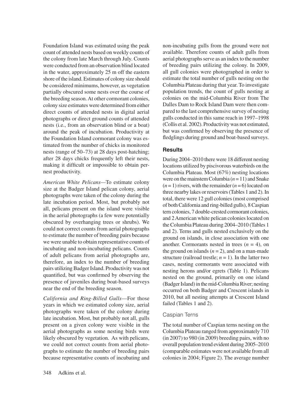Foundation Island was estimated using the peak count of attended nests based on weekly counts of the colony from late March through July. Counts were conducted from an observation blind located in the water, approximately 25 m off the eastern shore of the island. Estimates of colony size should be considered minimums, however, as vegetation partially obscured some nests over the course of the breeding season. At other cormorant colonies, colony size estimates were determined from either direct counts of attended nests in digital aerial photographs or direct ground counts of attended nests (i.e., from an observation blind or a boat) around the peak of incubation. Productivity at the Foundation Island cormorant colony was estimated from the number of chicks in monitored nests (range of 50–73) at 28 days post-hatching; after 28 days chicks frequently left their nests, making it difficult or impossible to obtain pernest productivity.

*American White Pelicans—*To estimate colony size at the Badger Island pelican colony, aerial photographs were taken of the colony during the late incubation period. Most, but probably not all, pelicans present on the island were visible in the aerial photographs (a few were potentially obscured by overhanging trees or shrubs). We could not correct counts from aerial photographs to estimate the number of breeding pairs because we were unable to obtain representative counts of incubating and non-incubating pelicans. Counts of adult pelicans from aerial photographs are, therefore, an index to the number of breeding pairs utilizing Badger Island. Productivity was not quantified, but was confirmed by observing the presence of juveniles during boat-based surveys near the end of the breeding season.

*California and Ring-Billed Gulls*—For those years in which we estimated colony size, aerial photographs were taken of the colony during late incubation. Most, but probably not all, gulls present on a given colony were visible in the aerial photographs as some nesting birds were likely obscured by vegetation. As with pelicans, we could not correct counts from aerial photographs to estimate the number of breeding pairs because representative counts of incubating and

non-incubating gulls from the ground were not available. Therefore counts of adult gulls from aerial photographs serve as an index to the number of breeding pairs utilizing the colony. In 2009, all gull colonies were photographed in order to estimate the total number of gulls nesting on the Columbia Plateau during that year. To investigate population trends, the count of gulls nesting at colonies on the mid-Columbia River from The Dalles Dam to Rock Island Dam were then compared to the last comprehensive survey of nesting gulls conducted in this same reach in 1997–1998 (Collis et al. 2002). Productivity was not estimated, but was confirmed by observing the presence of fledglings during ground and boat-based surveys.

# **Results**

During 2004–2010 there were 18 different nesting locations utilized by piscivorous waterbirds on the Columbia Plateau. Most (67%) nesting locations were on the mainstem Columbia  $(n = 11)$  and Snake  $(n=1)$  rivers, with the remainder  $(n=6)$  located on three nearby lakes or reservoirs (Tables 1 and 2). In total, there were 12 gull colonies (most comprised of both California and ring-billed gulls), 8 Caspian tern colonies, 7 double-crested cormorant colonies, and 2 American white pelican colonies located on the Columbia Plateau during 2004–2010 (Tables 1 and 2). Terns and gulls nested exclusively on the ground on islands, in close association with one another. Cormorants nested in trees  $(n = 4)$ , on the ground on islands  $(n = 2)$ , and on a man-made structure (railroad trestle;  $n = 1$ ). In the latter two cases, nesting cormorants were associated with nesting herons and/or egrets (Table 1). Pelicans nested on the ground, primarily on one island (Badger Island) in the mid-Columbia River; nesting occurred on both Badger and Crescent islands in 2010, but all nesting attempts at Crescent Island failed (Tables 1 and 2).

### Caspian Terns

The total number of Caspian terns nesting on the Columbia Plateau ranged from approximately 710 (in 2007) to 980 (in 2009) breeding pairs, with no overall population trend evident during 2005–2010 (comparable estimates were not available from all colonies in 2004; Figure 2). The average number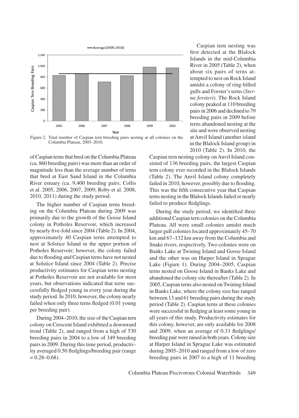

Figure 2. Total number of Caspian tern breeding pairs nesting at all colonies on the Columbia Plateau, 2005–2010.

of Caspian terns that bred on the Columbia Plateau (ca. 860 breeding pairs) was more than an order of magnitude less than the average number of terns that bred at East Sand Island in the Columbia River estuary (ca. 9,400 breeding pairs; Collis et al. 2005, 2006, 2007, 2009; Roby et al. 2008, 2010, 2011) during the study period.

The higher number of Caspian terns breeding on the Columbia Plateau during 2009 was primarily due to the growth of the Goose Island colony in Potholes Reservoir, which increased by nearly five-fold since 2004 (Table 2). In 2004, approximately 40 Caspian terns attempted to nest at Solstice Island in the upper portion of Potholes Reservoir; however, the colony failed due to flooding and Caspian terns have not nested at Solstice Island since 2004 (Table 2). Precise productivity estimates for Caspian terns nesting at Potholes Reservoir are not available for most years, but observations indicated that terns successfully fledged young in every year during the study period. In 2010, however, the colony nearly failed when only three terns fledged (0.01 young per breeding pair).

During 2004–2010, the size of the Caspian tern colony on Crescent Island exhibited a downward trend (Table 2), and ranged from a high of 530 breeding pairs in 2004 to a low of 349 breeding pairs in 2009. During this time period, productivity averaged 0.50 fledglings/breeding pair (range  $= 0.28 - 0.68$ ).

Caspian tern nesting was first detected at the Blalock Islands in the mid-Columbia River in 2005 (Table 2), when about six pairs of terns attempted to nest on Rock Island amidst a colony of ring-billed gulls and Forster's terns (*Sterna forsteri*). The Rock Island colony peaked at 110 breeding pairs in 2006 and declined to 79 breeding pairs in 2009 before terns abandoned nesting at the site and were observed nesting at Anvil Island (another island in the Blalock Island group) in 2010 (Table 2). In 2010, the

Caspian tern nesting colony on Anvil Island consisted of 136 breeding pairs, the largest Caspian tern colony ever recorded in the Blalock Islands (Table 2). The Anvil Island colony completely failed in 2010, however, possibly due to flooding. This was the fifth consecutive year that Caspian terns nesting in the Blalock Islands failed or nearly failed to produce fledglings.

During the study period, we identified three additional Caspian tern colonies on the Columbia Plateau. All were small colonies amidst much larger gull colonies located approximately 45–70 km and 67–132 km away from the Columbia and Snake rivers, respectively. Two colonies were on Banks Lake at Twining Island and Goose Island and the other was on Harper Island in Sprague Lake (Figure 1). During 2004–2005, Caspian terns nested on Goose Island in Banks Lake and abandoned the colony site thereafter (Table 2). In 2005, Caspian terns also nested on Twining Island in Banks Lake, where the colony size has ranged between 13 and 61 breeding pairs during the study period (Table 2). Caspian terns at these colonies were successful in fledging at least some young in all years of this study. Productivity estimates for this colony, however, are only available for 2008 and 2009, when an average of 0.33 fledglings/ breeding pair were raised in both years. Colony size at Harper Island in Sprague Lake was estimated during 2005–2010 and ranged from a low of zero breeding pairs in 2007 to a high of 11 breeding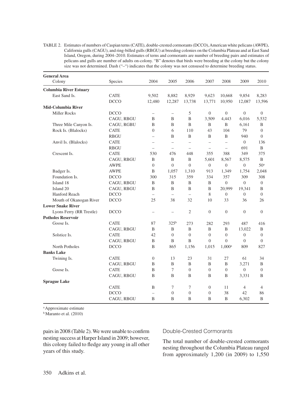TABLE 2. Estimates of numbers of Caspian terns (CATE), double-crested cormorants (DCCO), American white pelicans (AWPE), California gulls (CAGU), and ring-billed gulls (RBGU) at breeding colonies on the Columbia Plateau and at East Sand Island, Oregon, during 2004–2010. Estimates of terns and cormorants are number of breeding pairs and estimates of pelicans and gulls are number of adults on-colony. "B" denotes that birds were breeding at the colony but the colony size was not determined. Dash ("-") indicates that the colony was not censused to determine breeding status.

| <b>General Area</b>           |             |                          |                          |                          |                          |                          |                |                 |
|-------------------------------|-------------|--------------------------|--------------------------|--------------------------|--------------------------|--------------------------|----------------|-----------------|
| Colony                        | Species     | 2004                     | 2005                     | 2006                     | 2007                     | 2008                     | 2009           | 2010            |
| <b>Columbia River Estuary</b> |             |                          |                          |                          |                          |                          |                |                 |
| East Sand Is.                 | <b>CATE</b> | 9,502                    | 8,882                    | 8,929                    | 9,623                    | 10,668                   | 9,854          | 8,283           |
|                               | <b>DCCO</b> | 12,480                   | 12,287                   | 13,738                   | 13,771                   | 10,950                   | 12,087         | 13,596          |
| <b>Mid-Columbia River</b>     |             |                          |                          |                          |                          |                          |                |                 |
| <b>Miller Rocks</b>           | <b>DCCO</b> | $\overline{\phantom{0}}$ | $\qquad \qquad -$        | 5                        | $\overline{0}$           | $\overline{0}$           | $\overline{0}$ | $\mathbf{0}$    |
|                               | CAGU, RBGU  | B                        | B                        | $\mathbf B$              | 3,509                    | 4,443                    | 6,016          | 5,532           |
| Three Mile Canyon Is.         | CAGU, RGBU  | B                        | B                        | B                        | B                        | $\mathbf B$              | 6,161          | B               |
| Rock Is. (Blalocks)           | <b>CATE</b> | $\theta$                 | 6                        | 110                      | 43                       | 104                      | 79             | $\overline{0}$  |
|                               | <b>RBGU</b> |                          | B                        | B                        | B                        | B                        | 940            | $\overline{0}$  |
| Anvil Is. (Blalocks)          | <b>CATE</b> | $\overline{\phantom{0}}$ | $\overline{\phantom{0}}$ | $\qquad \qquad -$        | $\overline{\phantom{0}}$ | $\overline{\phantom{0}}$ | $\overline{0}$ | 136             |
|                               | <b>RBGU</b> | $\overline{\phantom{0}}$ | $\overline{\phantom{0}}$ | $\overline{\phantom{0}}$ | $\overline{\phantom{0}}$ | $\overline{\phantom{0}}$ | 691            | $\mathbf B$     |
| Crescent Is.                  | <b>CATE</b> | 530                      | 476                      | 448                      | 355                      | 388                      | 349            | 375             |
|                               | CAGU, RBGU  | B                        | B                        | B                        | 5,601                    | 8,567                    | 8,575          | B               |
|                               | <b>AWPE</b> | $\overline{0}$           | $\overline{0}$           | $\overline{0}$           | $\overline{0}$           | $\overline{0}$           | $\overline{0}$ | 50 <sup>a</sup> |
| Badger Is.                    | <b>AWPE</b> | B                        | 1,057                    | 1,310                    | 913                      | 1,349                    | 1,754          | 2,048           |
| Foundation Is.                | <b>DCCO</b> | 300                      | 315                      | 359                      | 334                      | 357                      | 309            | 308             |
| Island 18                     | CAGU, RBGU  | B                        | B                        | B                        | B                        | $\Omega$                 | $\Omega$       | $\overline{0}$  |
| Island 20                     | CAGU, RBGU  | B                        | $\mathbf B$              | $\mathbf B$              | B                        | 20,999                   | 19,341         | B               |
| Hanford Reach                 | <b>DCCO</b> | $\overline{\phantom{0}}$ | $\overline{\phantom{0}}$ | $\overline{\phantom{0}}$ | 8                        | $\overline{0}$           | $\overline{0}$ | $\overline{0}$  |
| Mouth of Okanogan River       | <b>DCCO</b> | 25                       | 38                       | 32                       | 10                       | 33                       | 36             | 26              |
| <b>Lower Snake River</b>      |             |                          |                          |                          |                          |                          |                |                 |
| Lyons Ferry (RR Trestle)      | <b>DCCO</b> |                          | $\overline{\phantom{0}}$ | $\overline{2}$           | $\overline{0}$           | $\mathbf{0}$             | $\overline{0}$ | $\mathbf{0}$    |
| <b>Potholes Reservoir</b>     |             |                          |                          |                          |                          |                          |                |                 |
| Goose Is.                     | <b>CATE</b> | 87                       | 325 <sup>b</sup>         | 273                      | 282                      | 293                      | 487            | 416             |
|                               | CAGU, RBGU  | B                        | B                        | B                        | B                        | B                        | 13,022         | B               |
| Solstice Is.                  | <b>CATE</b> | 42                       | $\theta$                 | $\overline{0}$           | $\Omega$                 | $\mathbf{0}$             | $\mathbf{0}$   | $\mathbf{0}$    |
|                               | CAGU, RBGU  | B                        | B                        | B                        | $\theta$                 | $\theta$                 | $\overline{0}$ | $\mathbf{0}$    |
| North Potholes                | <b>DCCO</b> | B                        | 865                      | 1.156                    | 1.015                    | 1.000 <sup>a</sup>       | 809            | 827             |
| <b>Banks Lake</b>             |             |                          |                          |                          |                          |                          |                |                 |
| Twining Is.                   | <b>CATE</b> | $\boldsymbol{0}$         | 13                       | 23                       | 31                       | 27                       | 61             | 34              |
|                               | CAGU, RBGU  | B                        | B                        | B                        | B                        | B                        | 3,271          | B               |
| Goose Is.                     | <b>CATE</b> | B                        | 7                        | $\mathbf{0}$             | $\Omega$                 | $\mathbf{0}$             | $\overline{0}$ | $\overline{0}$  |
|                               | CAGU, RBGU  | B                        | B                        | B                        | B                        | B                        | 3,331          | B               |
| <b>Sprague Lake</b>           |             |                          |                          |                          |                          |                          |                |                 |
|                               | <b>CATE</b> | B                        | 7                        | 7                        | $\overline{0}$           | 11                       | $\overline{4}$ | $\overline{4}$  |
|                               | <b>DCCO</b> |                          | $\Omega$                 | $\mathbf{0}$             | $\theta$                 | 38                       | 42             | 86              |
|                               | CAGU, RBGU  | B                        | B                        | B                        | B                        | B                        | 6.302          | B               |

a Approximate estimate

 $<sup>b</sup>$  Maranto et al. (2010)</sup>

pairs in 2008 (Table 2). We were unable to confirm nesting success at Harper Island in 2009; however, this colony failed to fledge any young in all other years of this study.

# Double-Crested Cormorants

The total number of double-crested cormorants nesting throughout the Columbia Plateau ranged from approximately 1,200 (in 2009) to 1,550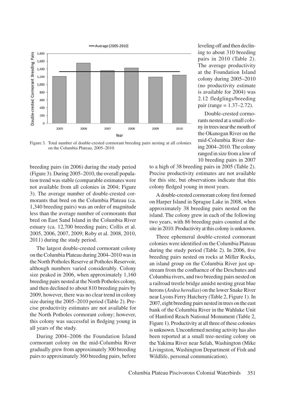

Figure 3. Total number of double-crested cormorant breeding pairs nesting at all colonies on the Columbia Plateau, 2005–2010.

breeding pairs (in 2006) during the study period (Figure 3). During 2005–2010, the overall population trend was stable (comparable estimates were not available from all colonies in 2004; Figure 3). The average number of double-crested cormorants that bred on the Columbia Plateau (ca. 1,340 breeding pairs) was an order of magnitude less than the average number of cormorants that bred on East Sand Island in the Columbia River estuary (ca. 12,700 breeding pairs; Collis et al. 2005, 2006, 2007, 2009; Roby et al. 2008, 2010, 2011) during the study period.

The largest double-crested cormorant colony on the Columbia Plateau during 2004–2010 was in the North Potholes Reserve at Potholes Reservoir, although numbers varied considerably. Colony size peaked in 2006, when approximately 1,160 breeding pairs nested at the North Potholes colony, and then declined to about 810 breeding pairs by 2009, however, there was no clear trend in colony size during the 2005–2010 period (Table 2). Precise productivity estimates are not available for the North Potholes cormorant colony; however, this colony was successful in fledging young in all years of the study.

During 2004–2006 the Foundation Island cormorant colony on the mid-Columbia River gradually grew from approximately 300 breeding pairs to approximately 360 breeding pairs, before

leveling off and then declining to about 310 breeding pairs in 2010 (Table 2). The average productivity at the Foundation Island colony during 2005–2010 (no productivity estimate is available for 2004) was 2.12 fledglings/breeding pair (range =  $1.37-2.72$ ).

Double-crested cormorants nested at a small colony in trees near the mouth of the Okanogan River on the mid-Columbia River during 2004–2010. The colony ranged in size from a low of 10 breeding pairs in 2007

to a high of 38 breeding pairs in 2005 (Table 2). Precise productivity estimates are not available for this site, but observations indicate that this colony fledged young in most years.

A double-crested cormorant colony first formed on Harper Island in Sprague Lake in 2008, when approximately 38 breeding pairs nested on the island. The colony grew in each of the following two years, with 86 breeding pairs counted at the site in 2010. Productivity at this colony is unknown.

Three ephemeral double-crested cormorant colonies were identified on the Columbia Plateau during the study period (Table 2). In 2006, five breeding pairs nested on rocks at Miller Rocks, an island group on the Columbia River just upstream from the confluence of the Deschutes and Columbia rivers, and two breeding pairs nested on a railroad trestle bridge amidst nesting great blue herons (*Ardea herodias*) on the lower Snake River near Lyons Ferry Hatchery (Table 2, Figure 1). In 2007, eight breeding pairs nested in trees on the east bank of the Columbia River in the Wahluke Unit of Hanford Reach National Monument (Table 2, Figure 1). Productivity at all three of these colonies is unknown. Unconfirmed nesting activity has also been reported at a small tree-nesting colony on the Yakima River near Selah, Washington (Mike Livingston, Washington Department of Fish and Wildlife, personal communication).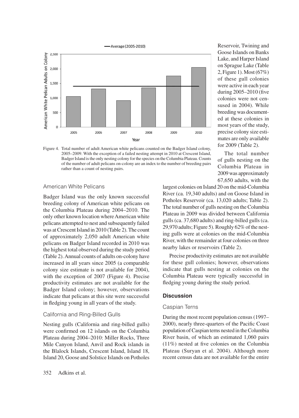

Figure 4. Total number of adult American white pelicans counted on the Badger Island colony, 2005–2009. With the exception of a failed nesting attempt in 2010 at Crescent Island, Badger Island is the only nesting colony for the species on the Columbia Plateau. Counts of the number of adult pelicans on-colony are an index to the number of breeding pairs rather than a count of nesting pairs.

Reservoir, Twining and Goose Islands on Banks Lake, and Harper Island on Sprague Lake (Table 2, Figure 1). Most (67%) of these gull colonies were active in each year during 2005–2010 (five colonies were not censused in 2004). While breeding was documented at these colonies in most years of the study, precise colony size estimates are only available for 2009 (Table 2).

The total number of gulls nesting on the Columbia Plateau in 2009 was approximately 67,650 adults, with the

### American White Pelicans

Badger Island was the only known successful breeding colony of American white pelicans on the Columbia Plateau during 2004–2010. The only other known location where American white pelicans attempted to nest and subsequently failed was at Crescent Island in 2010 (Table 2). The count of approximately 2,050 adult American white pelicans on Badger Island recorded in 2010 was the highest total observed during the study period (Table 2). Annual counts of adults on-colony have increased in all years since 2005 (a comparable colony size estimate is not available for 2004), with the exception of 2007 (Figure 4). Precise productivity estimates are not available for the Badger Island colony; however, observations indicate that pelicans at this site were successful in fledging young in all years of the study.

#### California and Ring-Billed Gulls

Nesting gulls (California and ring-billed gulls) were confirmed on 12 islands on the Columbia Plateau during 2004–2010: Miller Rocks, Three Mile Canyon Island, Anvil and Rock islands in the Blalock Islands, Crescent Island, Island 18, Island 20, Goose and Solstice Islands on Potholes

largest colonies on Island 20 on the mid-Columbia River (ca. 19,340 adults) and on Goose Island in Potholes Reservoir (ca. 13,020 adults; Table 2). The total number of gulls nesting on the Columbia Plateau in 2009 was divided between California gulls (ca. 37,680 adults) and ring-billed gulls (ca. 29,970 adults; Figure 5). Roughly 62% of the nesting gulls were at colonies on the mid-Columbia River, with the remainder at four colonies on three nearby lakes or reservoirs (Table 2).

Precise productivity estimates are not available for these gull colonies; however, observations indicate that gulls nesting at colonies on the Columbia Plateau were typically successful in fledging young during the study period.

# **Discussion**

#### Caspian Terns

During the most recent population census (1997– 2000), nearly three-quarters of the Pacific Coast population of Caspian terns nested in the Columbia River basin, of which an estimated 1,060 pairs (11%) nested at five colonies on the Columbia Plateau (Suryan et al. 2004). Although more recent census data are not available for the entire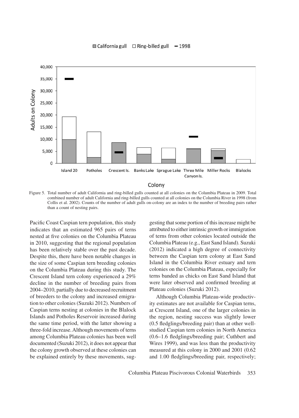#### $\Box$  California gull  $\Box$  Ring-billed gull  $-1998$



#### Colony

Figure 5. Total number of adult California and ring-billed gulls counted at all colonies on the Columbia Plateau in 2009. Total combined number of adult California and ring-billed gulls counted at all colonies on the Columbia River in 1998 (from Collis et al. 2002). Counts of the number of adult gulls on-colony are an index to the number of breeding pairs rather than a count of nesting pairs.

Pacific Coast Caspian tern population, this study indicates that an estimated 965 pairs of terns nested at five colonies on the Columbia Plateau in 2010, suggesting that the regional population has been relatively stable over the past decade. Despite this, there have been notable changes in the size of some Caspian tern breeding colonies on the Columbia Plateau during this study. The Crescent Island tern colony experienced a 29% decline in the number of breeding pairs from 2004–2010, partially due to decreased recruitment of breeders to the colony and increased emigration to other colonies (Suzuki 2012). Numbers of Caspian terns nesting at colonies in the Blalock Islands and Potholes Reservoir increased during the same time period, with the latter showing a three-fold increase. Although movements of terns among Columbia Plateau colonies has been well documented (Suzuki 2012), it does not appear that the colony growth observed at these colonies can be explained entirely by these movements, suggesting that some portion of this increase might be attributed to either intrinsic growth or immigration of terns from other colonies located outside the Columbia Plateau (e.g., East Sand Island). Suzuki (2012) indicated a high degree of connectivity between the Caspian tern colony at East Sand Island in the Columbia River estuary and tern colonies on the Columbia Plateau, especially for terns banded as chicks on East Sand Island that were later observed and confirmed breeding at Plateau colonies (Suzuki 2012).

Although Columbia Plateau-wide productivity estimates are not available for Caspian terns, at Crescent Island, one of the larger colonies in the region, nesting success was slightly lower (0.5 fledglings/breeding pair) than at other wellstudied Caspian tern colonies in North America (0.6–1.6 fledglings/breeding pair; Cuthbert and Wires 1999), and was less than the productivity measured at this colony in 2000 and 2001 (0.62 and 1.00 fledglings/breeding pair, respectively;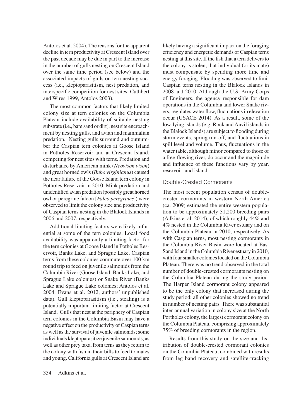Antolos et al. 2004). The reasons for the apparent decline in tern productivity at Crescent Island over the past decade may be due in part to the increase in the number of gulls nesting on Crescent Island over the same time period (see below) and the associated impacts of gulls on tern nesting success (i.e., kleptoparasitism, nest predation, and interspecific competition for nest sites; Cuthbert and Wires 1999, Antolos 2003).

The most common factors that likely limited colony size at tern colonies on the Columbia Plateau include availability of suitable nesting substrate (i.e., bare sand or dirt), nest site encroachment by nesting gulls, and avian and mammalian predation. Nesting gulls surround and outnumber the Caspian tern colonies at Goose Island in Potholes Reservoir and at Crescent Island, competing for nest sites with terns. Predation and disturbance by American mink (*Neovison vison*) and great horned owls (*Bubo virginianus*) caused the near failure of the Goose Island tern colony in Potholes Reservoir in 2010. Mink predation and unidentified avian predation (possibly great horned owl or peregrine falcon [*Falco peregrines*]) were observed to limit the colony size and productivity of Caspian terns nesting in the Blalock Islands in 2006 and 2007, respectively.

Additional limiting factors were likely influential at some of the tern colonies. Local food availability was apparently a limiting factor for the tern colonies at Goose Island in Potholes Reservoir, Banks Lake, and Sprague Lake. Caspian terns from these colonies commute over 100 km round trip to feed on juvenile salmonids from the Columbia River (Goose Island, Banks Lake, and Sprague Lake colonies) or Snake River (Banks Lake and Sprague Lake colonies; Antolos et al. 2004, Evans et al. 2012, authors' unpublished data). Gull kleptoparasitism (i.e., stealing) is a potentially important limiting factor at Crescent Island. Gulls that nest at the periphery of Caspian tern colonies in the Columbia Basin may have a negative effect on the productivity of Caspian terns as well as the survival of juvenile salmonids; some individuals kleptoparasitize juvenile salmonids, as well as other prey taxa, from terns as they return to the colony with fish in their bills to feed to mates and young. California gulls at Crescent Island are likely having a significant impact on the foraging efficiency and energetic demands of Caspian terns nesting at this site. If the fish that a tern delivers to the colony is stolen, that individual (or its mate) must compensate by spending more time and energy foraging. Flooding was observed to limit Caspian terns nesting in the Blalock Islands in 2008 and 2010. Although the U.S. Army Corps of Engineers, the agency responsible for dam operations in the Columbia and lower Snake rivers, regulates water flow, fluctuations in elevation occur (USACE 2014). As a result, some of the low-lying islands (e.g. Rock and Anvil islands in the Blalock Islands) are subject to flooding during storm events, spring run-off, and fluctuations in spill level and volume. Thus, fluctuations in the water table, although minor compared to those of a free-flowing river, do occur and the magnitude and influence of these functions vary by year, reservoir, and island.

# Double-Crested Cormorants

The most recent population census of doublecrested cormorants in western North America (ca. 2009) estimated the entire western population to be approximately 31,200 breeding pairs (Adkins et al. 2014), of which roughly 44% and 4% nested in the Columbia River estuary and on the Columbia Plateau in 2010, respectively. As with Caspian terns, most nesting cormorants in the Columbia River Basin were located at East Sand Island in the Columbia River estuary in 2010, with four smaller colonies located on the Columbia Plateau. There was no trend observed in the total number of double-crested cormorants nesting on the Columbia Plateau during the study period. The Harper Island cormorant colony appeared to be the only colony that increased during the study period; all other colonies showed no trend in number of nesting pairs. There was substantial inter-annual variation in colony size at the North Portholes colony, the largest cormorant colony on the Columbia Plateau, comprising approximately 75% of breeding cormorants in the region.

Results from this study on the size and distribution of double-crested cormorant colonies on the Columbia Plateau, combined with results from leg band recovery and satellite-tracking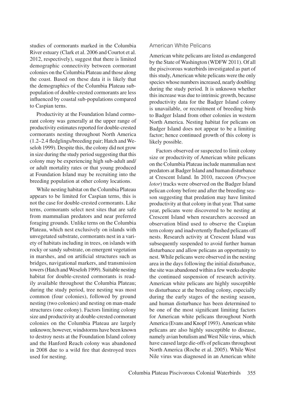studies of cormorants marked in the Columbia River estuary (Clark et al. 2006 and Courtot et al. 2012, respectively), suggest that there is limited demographic connectivity between cormorant colonies on the Columbia Plateau and those along the coast. Based on these data it is likely that the demographics of the Columbia Plateau subpopulation of double-crested cormorants are less influenced by coastal sub-populations compared to Caspian terns.

Productivity at the Foundation Island cormorant colony was generally at the upper range of productivity estimates reported for double-crested cormorants nesting throughout North America (1.2–2.4 fledglings/breeding pair; Hatch and Weseloh 1999). Despite this, the colony did not grow in size during the study period suggesting that this colony may be experiencing high sub-adult and/ or adult mortality rates or that young produced at Foundation Island may be recruiting into the breeding population at other colony locations.

While nesting habitat on the Columbia Plateau appears to be limited for Caspian terns, this is not the case for double-crested cormorants. Like terns, cormorants select nest sites that are safe from mammalian predators and near preferred foraging grounds. Unlike terns on the Columbia Plateau, which nest exclusively on islands with unvegetated substrate, cormorants nest in a variety of habitats including in trees, on islands with rocky or sandy substrate, on emergent vegetation in marshes, and on artificial structures such as bridges, navigational markers, and transmission towers (Hatch and Weseloh 1999). Suitable nesting habitat for double-crested cormorants is readily available throughout the Columbia Plateau; during the study period, tree nesting was most common (four colonies), followed by ground nesting (two colonies) and nesting on man-made structures (one colony). Factors limiting colony size and productivity at double-crested cormorant colonies on the Columbia Plateau are largely unknown; however, windstorms have been known to destroy nests at the Foundation Island colony and the Hanford Reach colony was abandoned in 2008 due to a wild fire that destroyed trees used for nesting.

#### American White Pelicans

American white pelicans are listed as endangered by the State of Washington (WDFW 2011). Of all the piscivorous waterbirds investigated as part of this study, American white pelicans were the only species whose numbers increased, nearly doubling during the study period. It is unknown whether this increase was due to intrinsic growth, because productivity data for the Badger Island colony is unavailable, or recruitment of breeding birds to Badger Island from other colonies in western North America. Nesting habitat for pelicans on Badger Island does not appear to be a limiting factor; hence continued growth of this colony is likely possible.

Factors observed or suspected to limit colony size or productivity of American white pelicans on the Columbia Plateau include mammalian nest predators at Badger Island and human disturbance at Crescent Island. In 2010, raccoon (*Procyon lotor*) tracks were observed on the Badger Island pelican colony before and after the breeding season suggesting that predation may have limited productivity at that colony in that year. That same year, pelicans were discovered to be nesting at Crescent Island when researchers accessed an observation blind used to observe the Caspian tern colony and inadvertently flushed pelicans off nests. Research activity at Crescent Island was subsequently suspended to avoid further human disturbance and allow pelicans an opportunity to nest. While pelicans were observed in the nesting area in the days following the initial disturbance, the site was abandoned within a few weeks despite the continued suspension of research activity. American white pelicans are highly susceptible to disturbance at the breeding colony, especially during the early stages of the nesting season, and human disturbance has been determined to be one of the most significant limiting factors for American white pelicans throughout North America (Evans and Knopf 1993). American white pelicans are also highly susceptible to disease, namely avian botulism and West Nile virus, which have caused large die-offs of pelicans throughout North America (Roche et al. 2005). While West Nile virus was diagnosed in an American white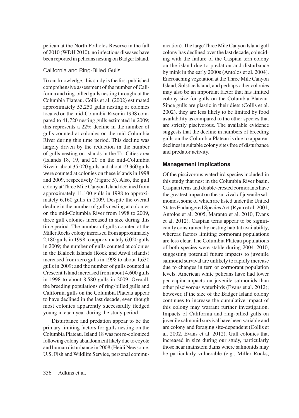pelican at the North Potholes Reserve in the fall of 2010 (WDH 2010), no infectious diseases have been reported in pelicans nesting on Badger Island.

# California and Ring-Billed Gulls

To our knowledge, this study is the first published comprehensive assessment of the number of California and ring-billed gulls nesting throughout the Columbia Plateau. Collis et al. (2002) estimated approximately 53,250 gulls nesting at colonies located on the mid-Columbia River in 1998 compared to 41,720 nesting gulls estimated in 2009; this represents a 22% decline in the number of gulls counted at colonies on the mid-Columbia River during this time period. This decline was largely driven by the reduction in the number of gulls nesting on islands in the Tri-Cities area (Islands 18, 19, and 20 on the mid-Columbia River); about 35,020 gulls and about 19,360 gulls were counted at colonies on these islands in 1998 and 2009, respectively (Figure 5). Also, the gull colony at Three Mile Canyon Island declined from approximately 11,100 gulls in 1998 to approximately 6,160 gulls in 2009. Despite the overall decline in the number of gulls nesting at colonies on the mid-Columbia River from 1998 to 2009, three gull colonies increased in size during this time period. The number of gulls counted at the Miller Rocks colony increased from approximately 2,180 gulls in 1998 to approximately 6,020 gulls in 2009; the number of gulls counted at colonies in the Blalock Islands (Rock and Anvil islands) increased from zero gulls in 1998 to about 1,630 gulls in 2009; and the number of gulls counted at Crescent Island increased from about 4,600 gulls in 1998 to about 8,580 gulls in 2009. Overall, the breeding populations of ring-billed gulls and California gulls on the Columbia Plateau appear to have declined in the last decade, even though most colonies apparently successfully fledged young in each year during the study period.

 Disturbance and predation appear to be the primary limiting factors for gulls nesting on the Columbia Plateau. Island 18 was not re-colonized following colony abandonment likely due to coyote and human disturbance in 2008 (Heidi Newsome, U.S. Fish and Wildlife Service, personal commu-

nication). The large Three Mile Canyon Island gull colony has declined over the last decade, coinciding with the failure of the Caspian tern colony on the island due to predation and disturbance by mink in the early 2000s (Antolos et al. 2004). Encroaching vegetation at the Three Mile Canyon Island, Solstice Island, and perhaps other colonies may also be an important factor that has limited colony size for gulls on the Columbia Plateau. Since gulls are plastic in their diets (Collis et al. 2002), they are less likely to be limited by food availability as compared to the other species that are strictly piscivorous. The available evidence suggests that the decline in numbers of breeding gulls on the Columbia Plateau is due to apparent declines in suitable colony sites free of disturbance and predator activity.

### **Management Implications**

Of the piscivorous waterbird species included in this study that nest in the Columbia River basin, Caspian terns and double-crested cormorants have the greatest impact on the survival of juvenile salmonids, some of which are listed under the United States Endangered Species Act (Ryan et al. 2001, Antolos et al. 2005, Maranto et al. 2010, Evans et al. 2012). Caspian terns appear to be significantly constrained by nesting habitat availability, whereas factors limiting cormorant populations are less clear. The Columbia Plateau populations of both species were stable during 2004–2010, suggesting potential future impacts to juvenile salmonid survival are unlikely to rapidly increase due to changes in tern or cormorant population levels. American white pelicans have had lower per capita impacts on juvenile salmonids than other piscivorous waterbirds (Evans et al. 2012); however, if the size of the Badger Island colony continues to increase the cumulative impact of this colony may warrant further investigation. Impacts of California and ring-billed gulls on juvenile salmonid survival have been variable and are colony and foraging site-dependent (Collis et al. 2002, Evans et al. 2012). Gull colonies that increased in size during our study, particularly those near mainstem dams where salmonids may be particularly vulnerable (e.g., Miller Rocks,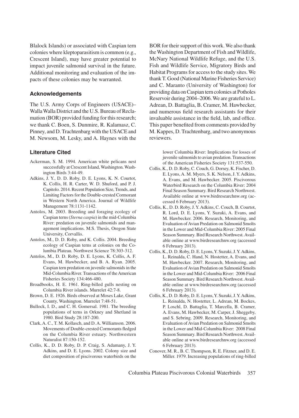Blalock Islands) or associated with Caspian tern colonies where kleptoparasitism is common (e.g., Crescent Island), may have greater potential to impact juvenile salmonid survival in the future. Additional monitoring and evaluation of the impacts of these colonies may be warranted.

### **Acknowledgements**

The U.S. Army Corps of Engineers (USACE)– Walla Walla District and the U.S. Bureau of Reclamation (BOR) provided funding for this research; we thank C. Boen, S. Dunmire, R. Kalamasz, C. Pinney, and D. Trachtenbarg with the USACE and M. Newsom, M. Lesky, and A. Haynes with the

## **Literature Cited**

- Ackerman, S. M. 1994. American white pelicans nest successfully at Crescent Island, Washington. Washington Birds 3:44-49.
- Adkins, J. Y., D. D. Roby, D. E. Lyons, K. N. Courtot, K. Collis, H. R. Carter, W. D. Shuford, and P. J. Capitolo. 2014. Recent Population Size, Trends, and Limiting Factors for the Double-crested Cormorant in Western North America. Journal of Wildlife Management 78:1131-1142.
- Antolos, M. 2003. Breeding and foraging ecology of Caspian terns (*Sterna caspia*) in the mid-Columbia River: predation on juvenile salmonids and management implications. M.S. Thesis, Oregon State University, Corvallis.
- Antolos, M., D. D. Roby, and K. Collis. 2004. Breeding ecology of Caspian terns at colonies on the Columbia Plateau. Northwest Science 78:303-312.
- Antolos, M., D. D. Roby, D. E. Lyons, K. Collis, A. F. Evans, M. Hawbecker, and B. A. Ryan. 2005. Caspian tern predation on juvenile salmonids in the Mid-Columbia River. Transactions of the American Fisheries Society 134:466-480.
- Broadbooks, H. E. 1961. Ring-billed gulls nesting on Columbia River islands. Murrelet 42:7-8.
- Brown, D. E. 1926. Birds observed at Moses Lake, Grant County, Washington. Murrelet 7:48-51.
- Bullock, I. D., and C. H. Gomersal. 1981. The breeding populations of terns in Orkney and Shetland in 1980. Bird Study 28:187-200.
- Clark, A. C., T. M. Kollasch, and D. A. Williamson. 2006. Movements of Double-crested Cormorants fledged on the Columbia River estuary. Northwestern Naturalist 87:150-152.
- Collis, K., D. D. Roby, D. P. Craig, S. Adamany, J. Y. Adkins, and D. E. Lyons. 2002. Colony size and diet composition of piscivorous waterbirds on the

BOR for their support of this work. We also thank the Washington Department of Fish and Wildlife, McNary National Wildlife Refuge, and the U.S. Fish and Wildlife Service, Migratory Birds and Habitat Programs for access to the study sites. We thank T. Good (National Marine Fisheries Service) and C. Maranto (University of Washington) for providing data on Caspian tern colonies at Potholes Reservoir during 2004–2006. We are grateful to L. Adrean, D. Battaglia, B. Cramer, M. Hawbecker, and numerous field research assistants for their invaluable assistance in the field, lab, and office. This paper benefited from comments provided by M. Kappes, D. Trachtenbarg, and two anonymous reviewers.

lower Columbia River: Implications for losses of juvenile salmonids to avian predation. Transactions of the American Fisheries Society 131:537-550.

- Collis, K., D. D. Roby, C. Couch, G. Dorsey, K. Fischer, D. E. Lyons, A. M. Myers, S. K. Nelson, J. Y. Adkins, A. Evans, and M. Hawbecker. 2005. Piscivorous Waterbird Research on the Columbia River: 2004 Final Season Summary. Bird Research Northwest. Available online at www.birdresearchnw.org (accessed 6 February 2013).
- Collis, K., D. D. Roby, J. Y. Adkins, C. Couch, B. Courtot, R. Lord, D. E. Lyons, Y. Suzuki, A. Evans, and M. Hawbecker. 2006. Research, Monitoring, and Evaluation of Avian Predation on Salmonid Smolts in the Lower and Mid-Columbia River: 2005 Final Season Summary. Bird Research Northwest. Available online at www.birdresearchnw.org (accessed 6 February 2013).
- Collis, K., D. D. Roby, D. E. Lyons, Y. Suzuki, J. Y. Adkins, L. Reinalda, C. Hand, N. Hostetter, A. Evans, and M. Hawbecker. 2007. Research, Monitoring, and Evaluation of Avian Predation on Salmonid Smolts in the Lower and Mid-Columbia River: 2006 Final Season Summary. Bird Research Northwest. Available online at www.birdresearchnw.org (accessed 6 February 2013).
- Collis, K., D. D. Roby, D. E. Lyons, Y. Suzuki, J. Y. Adkins, L. Reinalda, N. Hostetter, L. Adrean, M. Bockes, P. Loschl, D. Battaglia, T. Marcella, B. Cramer, A. Evans, M. Hawbecker, M. Carper, J. Sheggeby, and S. Sebring. 2009. Research, Monitoring, and Evaluation of Avian Predation on Salmonid Smolts in the Lower and Mid-Columbia River: 2008 Final Season Summary. Bird Research Northwest. Available online at www.birdresearchnw.org (accessed 6 February 2013).
- Conover, M. R., B. C. Thompson, R. E. Fitzner, and D. E. Miller. 1979. Increasing populations of ring-billed

Columbia Plateau Piscivorous Colonial Waterbirds 357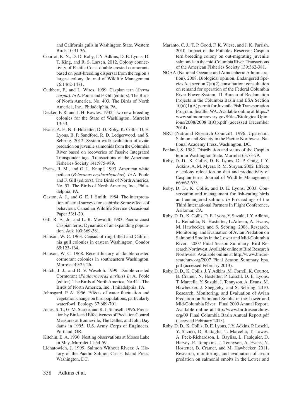and California gulls in Washington State. Western Birds 10:31-36.

- Courtot, K. N., D. D. Roby, J. Y. Adkins, D. E. Lyons, D. T. King, and R. S. Larsen. 2012. Colony connectivity of Pacific Coast double-crested cormorants based on post-breeding dispersal from the region's largest colony. Journal of Wildlife Management 76:1462-1471.
- Cuthbert, F., and L. Wires. 1999. Caspian tern (*Sterna caspia*). *In* A. Poole and F. Gill (editors), The Birds of North America, No. 403. The Birds of North America, Inc., Philadelphia, PA.
- Decker, F. R. and J. H. Bowles. 1932. Two new breeding colonies for the State of Washington. Murrelet 13:53.
- Evans, A. F., N. J. Hostetter, D. D. Roby, K. Collis, D. E. Lyons, B. P. Sandford, R. D. Ledgerwood, and S. Sebring. 2012. System-wide evaluation of avian predation on juvenile salmonids from the Columbia River based on recoveries of Passive Integrated Transponder tags. Transactions of the American Fisheries Society 141:975-989.
- Evans, R. M., and G. L. Knopf. 1993. American white peilcan (*Pelecanus erythrorhynchos*). *In* A. Poole and F. Gill (editors), The Birds of North America, No. 57. The Birds of North America, Inc., Philadelphia, PA.
- Gaston, A. J., and G. E. J. Smith. 1984. The interpretation of aerial surveys for seabirds: Some effects of behaviour. Canadian Wildlife Service Occasional Paper 53:1-20.
- Gill, R. E., Jr., and L. R. Mewaldt. 1983. Pacific coast Caspian terns: Dynamics of an expanding population. Auk 100:369-381.
- Hanson, W. C. 1963. Census of ring-billed and California gull colonies in eastern Washington. Condor 65:123-164.
- Hanson, W. C. 1968. Recent history of double-crested cormorant colonies in southeastern Washington. Murrelet 49:25-26.
- Hatch, J. J., and D. V. Weseloh. 1999. Double-crested Cormorant (*Phalacrocorax auritus*) *In* A. Poole (editor). The Birds of North America, No 441. The Birds of North America, Inc., Philadelphia, PA.
- Johnsgard, P. A. 1956. Effects of water fluctuation and vegetation change on bird populations, particularly waterfowl. Ecology 37:689-701.
- Jones, S. T., G. M. Starke, and R. J. Stansell. 1996. Predation by Birds and Effectiveness of Predation Control Measures at Bonneville, The Dalles, and John Day dams in 1995. U.S. Army Corps of Engineers, Portland, OR.
- Kitchin, E. A. 1930. Nesting observations at Moses Lake in May. Murrelet 11:54-59.
- Lichatowich, J. 1999. Salmon Without Rivers: A History of the Pacific Salmon Crisis. Island Press, Washington, DC.
- Maranto, C. J., T. P. Good, F. K. Wiese, and J. K. Parrish. 2010. Impact of the Potholes Reservoir Caspian tern breeding colony on out-migrating juvenile salmonids in the mid-Columbia River. Transactions of the American Fisheries Society 139:362-381.
- NOAA (National Oceanic and Atmospheric Administration). 2008. Biological opinion, Endangered Species Act section 7(a)(2) consultation: consultation on remand for operation of the Federal Columbia River Power System, 11 Bureau of Reclamation Projects in the Columbia Basin and ESA Section 10(a)(1)(A) permit for Juvenile Fish Transportation Program. Seattle, WA. Available online at https:// www.salmonrecovery.gov/Files/BiologicalOpinions/2008/2008 BiOp.pdf (accessed December 2014).
- NRC (National Research Council). 1996. Upstream: Salmon and Society in the Pacific Northwest. National Academy Press, Washington, DC.
- Penland, S. 1982. Distribution and status of the Caspian tern in Washington State. Murrelet 63:73-79.
- Roby, D. D., K. Collis, D. E. Lyons, D. P. Craig, J. Y. Adkins, A. M. Myers, R. M. Suryan. 2002. Effects of colony relocation on diet and productivity of Caspian terns. Journal of Wildlife Management 66:662-673.
- Roby, D. D., K. Collis, and D. E. Lyons. 2003. Conservation and management for fish-eating birds and endangered salmon. *In* Proceedings of the Third International Partners In Flight Conference, Asilomar, CA.
- Roby, D. D., K. Collis, D. E. Lyons, Y. Suzuki, J. Y. Adkins, L. Reinalda, N. Hostetter, L.Adrean, A. Evans, M. Hawbecker, and S. Sebring. 2008. Research, Monitoring, and Evaluation of Avian Predation on Salmonid Smolts in the Lower and Mid-Columbia River: 2007 Final Season Summary. Bird Research Northwest. Available online at Bird Research Northwest. Available online at http://www.birdresearchnw.org/2007\_Final\_Season\_Summary\_bpa. pdf (accessed February 2013).
- Roby, D. D., K. Collis, J. Y. Adkins, M. Correll, K. Courtot, B. Cramer, N. Hostetter, P. Loschl, D. E. Lyons, T. Marcella, Y. Suzuki, J. Tennyson, A. Evans, M. Hawbecker, J. Sheggeby, and S. Sebring. 2010. Research, Monitoring, and Evaluation of Avian Predation on Salmonid Smolts in the Lower and Mid-Columbia River: Final 2009 Annual Report. Available online at http://www.birdresearchnw. org/09 Final Columbia Basin Annual Report.pdf (accessed February 2013).
- Roby, D. D., K. Collis, D. E. Lyons, J. Y. Adkins, P. Loschl, Y. Suzuki, D. Battaglia, T. Marcella, T. Lawes, A. Peck-Richardson, L. Bayliss, L. Faulquier, D. Harvey, E. Tompkins, J. Tennyson, A. Evans, N. Hostetter, B. Cramer, and M. Hawbecker. 2011. Research, monitoring, and evaluation of avian predation on salmonid smolts in the Lower and

358 Adkins et al.